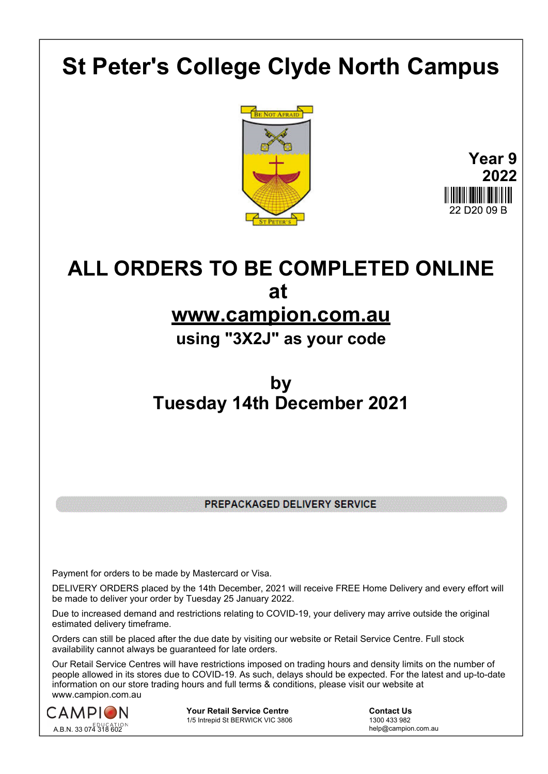# **St Peter's College Clyde North Campus**





## **ALL ORDERS TO BE COMPLETED ONLINE at**

### **www.campion.com.au**

**using "3X2J" as your code**

## **by Tuesday 14th December 2021**

PREPACKAGED DELIVERY SERVICE

Payment for orders to be made by Mastercard or Visa.

DELIVERY ORDERS placed by the 14th December, 2021 will receive FREE Home Delivery and every effort will be made to deliver your order by Tuesday 25 January 2022.

Due to increased demand and restrictions relating to COVID-19, your delivery may arrive outside the original estimated delivery timeframe.

Orders can still be placed after the due date by visiting our website or Retail Service Centre. Full stock availability cannot always be guaranteed for late orders.

Our Retail Service Centres will have restrictions imposed on trading hours and density limits on the number of people allowed in its stores due to COVID-19. As such, delays should be expected. For the latest and up-to-date information on our store trading hours and full terms & conditions, please visit our website at www.campion.com.au



**Your Retail Service Centre** <br>
1/5 Intrepid St BERWICK VIC 3806<br>
1300 433 982 1/5 Intrepid St BERWICK VIC 3806

help@campion.com.au